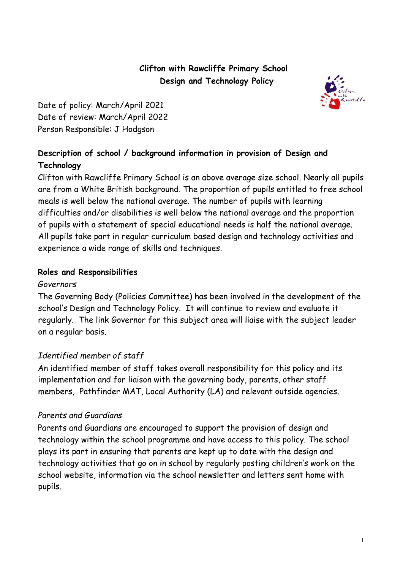# **Clifton with Rawcliffe Primary School Design and Technology Policy**



Date of policy: March/April 2021 Date of review: March/April 2022 Person Responsible: J Hodgson

# **Description of school / background information in provision of Design and Technology**

Clifton with Rawcliffe Primary School is an above average size school. Nearly all pupils are from a White British background. The proportion of pupils entitled to free school meals is well below the national average. The number of pupils with learning difficulties and/or disabilities is well below the national average and the proportion of pupils with a statement of special educational needs is half the national average. All pupils take part in regular curriculum based design and technology activities and experience a wide range of skills and techniques.

### **Roles and Responsibilities**

#### *Governors*

The Governing Body (Policies Committee) has been involved in the development of the school's Design and Technology Policy. It will continue to review and evaluate it regularly. The link Governor for this subject area will liaise with the subject leader on a regular basis.

# *Identified member of staff*

An identified member of staff takes overall responsibility for this policy and its implementation and for liaison with the governing body, parents, other staff members, Pathfinder MAT, Local Authority (LA) and relevant outside agencies.

### *Parents and Guardians*

Parents and Guardians are encouraged to support the provision of design and technology within the school programme and have access to this policy. The school plays its part in ensuring that parents are kept up to date with the design and technology activities that go on in school by regularly posting children's work on the school website, information via the school newsletter and letters sent home with pupils.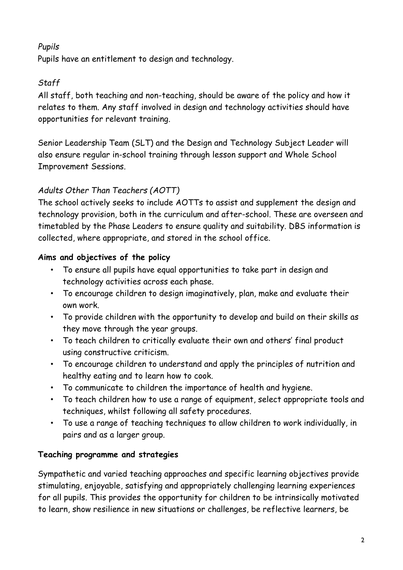# *Pupils*

Pupils have an entitlement to design and technology.

# *Staff*

All staff, both teaching and non-teaching, should be aware of the policy and how it relates to them. Any staff involved in design and technology activities should have opportunities for relevant training.

Senior Leadership Team (SLT) and the Design and Technology Subject Leader will also ensure regular in-school training through lesson support and Whole School Improvement Sessions.

# *Adults Other Than Teachers (AOTT)*

The school actively seeks to include AOTTs to assist and supplement the design and technology provision, both in the curriculum and after-school. These are overseen and timetabled by the Phase Leaders to ensure quality and suitability. DBS information is collected, where appropriate, and stored in the school office.

### **Aims and objectives of the policy**

- To ensure all pupils have equal opportunities to take part in design and technology activities across each phase.
- To encourage children to design imaginatively, plan, make and evaluate their own work.
- To provide children with the opportunity to develop and build on their skills as they move through the year groups.
- To teach children to critically evaluate their own and others' final product using constructive criticism.
- To encourage children to understand and apply the principles of nutrition and healthy eating and to learn how to cook.
- To communicate to children the importance of health and hygiene.
- To teach children how to use a range of equipment, select appropriate tools and techniques, whilst following all safety procedures.
- To use a range of teaching techniques to allow children to work individually, in pairs and as a larger group.

### **Teaching programme and strategies**

Sympathetic and varied teaching approaches and specific learning objectives provide stimulating, enjoyable, satisfying and appropriately challenging learning experiences for all pupils. This provides the opportunity for children to be intrinsically motivated to learn, show resilience in new situations or challenges, be reflective learners, be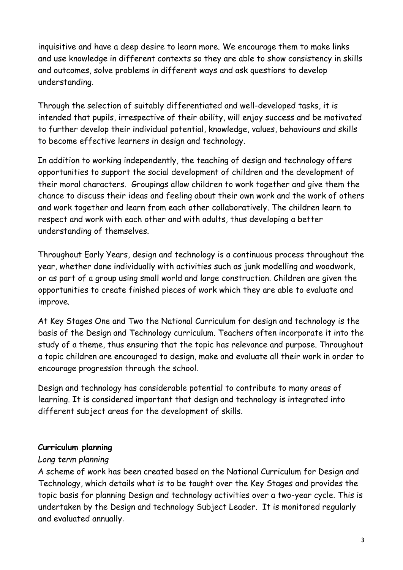inquisitive and have a deep desire to learn more. We encourage them to make links and use knowledge in different contexts so they are able to show consistency in skills and outcomes, solve problems in different ways and ask questions to develop understanding.

Through the selection of suitably differentiated and well-developed tasks, it is intended that pupils, irrespective of their ability, will enjoy success and be motivated to further develop their individual potential, knowledge, values, behaviours and skills to become effective learners in design and technology.

In addition to working independently, the teaching of design and technology offers opportunities to support the social development of children and the development of their moral characters. Groupings allow children to work together and give them the chance to discuss their ideas and feeling about their own work and the work of others and work together and learn from each other collaboratively. The children learn to respect and work with each other and with adults, thus developing a better understanding of themselves.

Throughout Early Years, design and technology is a continuous process throughout the year, whether done individually with activities such as junk modelling and woodwork, or as part of a group using small world and large construction. Children are given the opportunities to create finished pieces of work which they are able to evaluate and improve.

At Key Stages One and Two the National Curriculum for design and technology is the basis of the Design and Technology curriculum. Teachers often incorporate it into the study of a theme, thus ensuring that the topic has relevance and purpose. Throughout a topic children are encouraged to design, make and evaluate all their work in order to encourage progression through the school.

Design and technology has considerable potential to contribute to many areas of learning. It is considered important that design and technology is integrated into different subject areas for the development of skills.

#### **Curriculum planning**

#### *Long term planning*

A scheme of work has been created based on the National Curriculum for Design and Technology, which details what is to be taught over the Key Stages and provides the topic basis for planning Design and technology activities over a two-year cycle. This is undertaken by the Design and technology Subject Leader. It is monitored regularly and evaluated annually.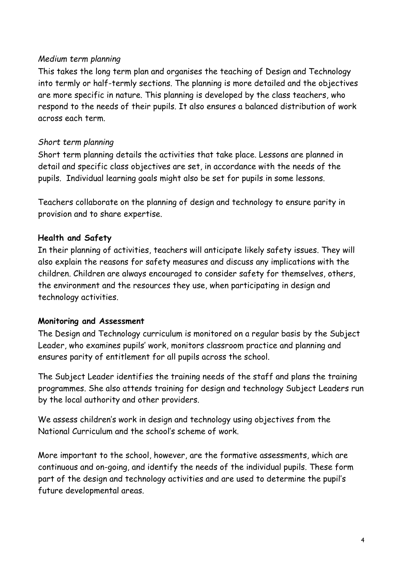#### *Medium term planning*

This takes the long term plan and organises the teaching of Design and Technology into termly or half-termly sections. The planning is more detailed and the objectives are more specific in nature. This planning is developed by the class teachers, who respond to the needs of their pupils. It also ensures a balanced distribution of work across each term.

#### *Short term planning*

Short term planning details the activities that take place. Lessons are planned in detail and specific class objectives are set, in accordance with the needs of the pupils. Individual learning goals might also be set for pupils in some lessons.

Teachers collaborate on the planning of design and technology to ensure parity in provision and to share expertise.

#### **Health and Safety**

In their planning of activities, teachers will anticipate likely safety issues. They will also explain the reasons for safety measures and discuss any implications with the children. Children are always encouraged to consider safety for themselves, others, the environment and the resources they use, when participating in design and technology activities.

#### **Monitoring and Assessment**

The Design and Technology curriculum is monitored on a regular basis by the Subject Leader, who examines pupils' work, monitors classroom practice and planning and ensures parity of entitlement for all pupils across the school.

The Subject Leader identifies the training needs of the staff and plans the training programmes. She also attends training for design and technology Subject Leaders run by the local authority and other providers.

We assess children's work in design and technology using objectives from the National Curriculum and the school's scheme of work.

More important to the school, however, are the formative assessments, which are continuous and on-going, and identify the needs of the individual pupils. These form part of the design and technology activities and are used to determine the pupil's future developmental areas.